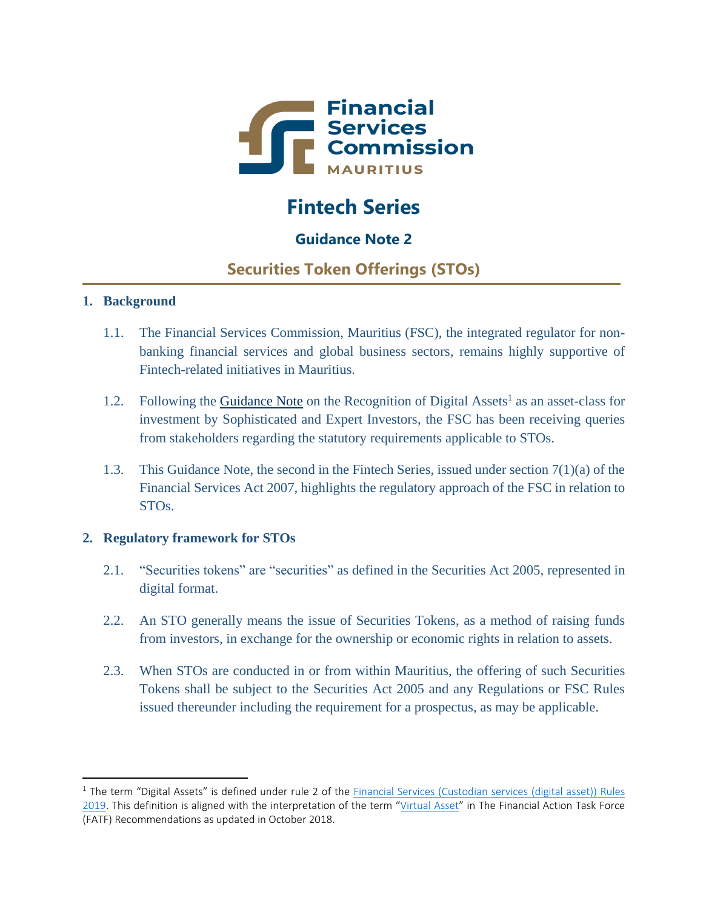

# **Fintech Series**

# **Guidance Note 2**

# **Securities Token Offerings (STOs)**

## **1. Background**

 $\overline{\phantom{a}}$ 

- 1.1. The Financial Services Commission, Mauritius (FSC), the integrated regulator for nonbanking financial services and global business sectors, remains highly supportive of Fintech-related initiatives in Mauritius.
- 1.2. Following the [Guidance Note](https://www.fscmauritius.org/media/55003/guidance-note-on-the-recognition-of-digital-assets.pdf) on the Recognition of Digital Assets<sup>1</sup> as an asset-class for investment by Sophisticated and Expert Investors, the FSC has been receiving queries from stakeholders regarding the statutory requirements applicable to STOs.
- 1.3. This Guidance Note, the second in the Fintech Series, issued under section 7(1)(a) of the Financial Services Act 2007, highlights the regulatory approach of the FSC in relation to STOs.

## **2. Regulatory framework for STOs**

- 2.1. "Securities tokens" are "securities" as defined in the Securities Act 2005, represented in digital format.
- 2.2. An STO generally means the issue of Securities Tokens, as a method of raising funds from investors, in exchange for the ownership or economic rights in relation to assets.
- 2.3. When STOs are conducted in or from within Mauritius, the offering of such Securities Tokens shall be subject to the Securities Act 2005 and any Regulations or FSC Rules issued thereunder including the requirement for a prospectus, as may be applicable.

<sup>&</sup>lt;sup>1</sup> The term "Digital Assets" is defined under rule 2 of the Financial Services (Custodian services (digital asset)) Rules [2019.](https://www.fscmauritius.org/media/70809/44_fs-_custodian-service.pdf) This definition is aligned with the interpretation of the term "[Virtual Asset](http://www.fatf-gafi.org/media/fatf/documents/recommendations/pdfs/FATF%20Recommendations%202012.pdf)" in The Financial Action Task Force (FATF) Recommendations as updated in October 2018.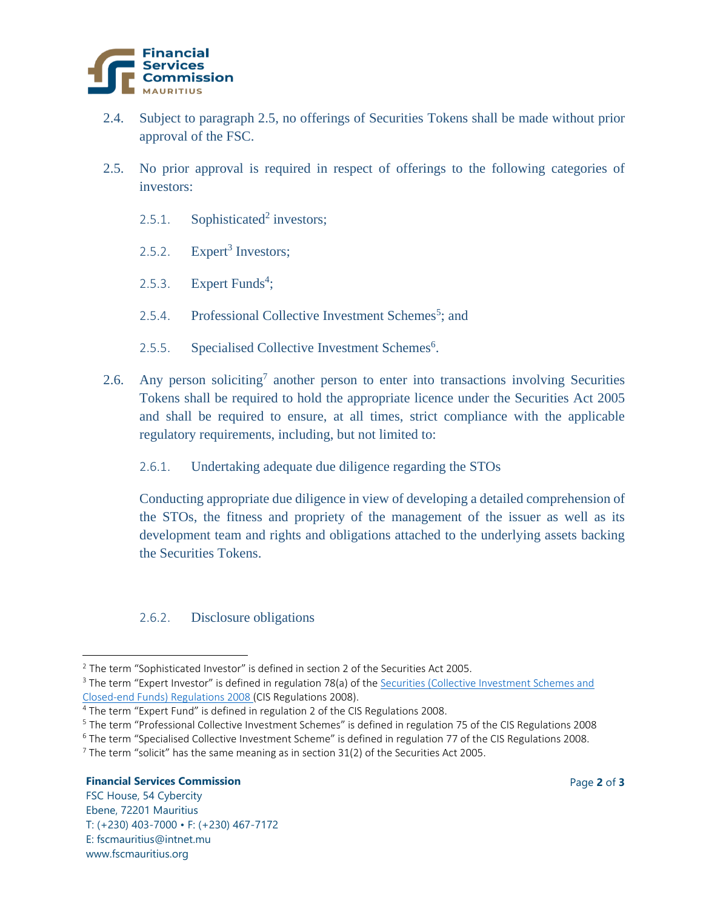

- 2.4. Subject to paragraph 2.5, no offerings of Securities Tokens shall be made without prior approval of the FSC.
- 2.5. No prior approval is required in respect of offerings to the following categories of investors:
	- 2.5.1. Sophisticated<sup>2</sup> investors;
	- 2.5.2. Expert<sup>3</sup> Investors;
	- 2.5.3. Expert Funds<sup>4</sup>;
	- 2.5.4. Professional Collective Investment Schemes<sup>5</sup>; and
	- 2.5.5. Specialised Collective Investment Schemes<sup>6</sup>.
- 2.6. Any person soliciting<sup>7</sup> another person to enter into transactions involving Securities Tokens shall be required to hold the appropriate licence under the Securities Act 2005 and shall be required to ensure, at all times, strict compliance with the applicable regulatory requirements, including, but not limited to:
	- 2.6.1. Undertaking adequate due diligence regarding the STOs

Conducting appropriate due diligence in view of developing a detailed comprehension of the STOs, the fitness and propriety of the management of the issuer as well as its development team and rights and obligations attached to the underlying assets backing the Securities Tokens.

### 2.6.2. Disclosure obligations

#### **Financial Services Commission** Page **2** of **3**

 $\overline{\phantom{a}}$ 

FSC House, 54 Cybercity Ebene, 72201 Mauritius T: (+230) 403-7000 • F: (+230) 467-7172 E: fscmauritius@intnet.mu www.fscmauritius.org

<sup>&</sup>lt;sup>2</sup> The term "Sophisticated Investor" is defined in section 2 of the Securities Act 2005.

<sup>&</sup>lt;sup>3</sup> The term "Expert Investor" is defined in regulation 78(a) of the Securities (Collective Investment Schemes and [Closed-end Funds\) Regulations 2008 \(](https://www.fscmauritius.org/media/2169/securities__collective_investment_schemes_and_closed-end_funds__regulations_2008.pdf)CIS Regulations 2008).

<sup>4</sup> The term "Expert Fund" is defined in regulation 2 of the CIS Regulations 2008.

<sup>5</sup> The term "Professional Collective Investment Schemes" is defined in regulation 75 of the CIS Regulations 2008

<sup>6</sup> The term "Specialised Collective Investment Scheme" is defined in regulation 77 of the CIS Regulations 2008.

 $<sup>7</sup>$  The term "solicit" has the same meaning as in section 31(2) of the Securities Act 2005.</sup>